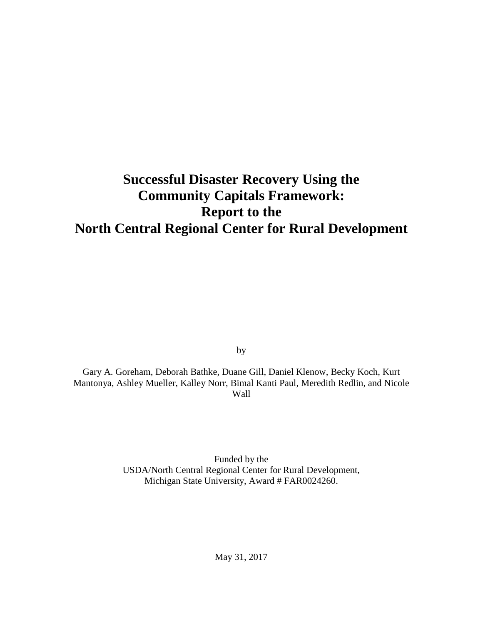# **Successful Disaster Recovery Using the Community Capitals Framework: Report to the North Central Regional Center for Rural Development**

by

Gary A. Goreham, Deborah Bathke, Duane Gill, Daniel Klenow, Becky Koch, Kurt Mantonya, Ashley Mueller, Kalley Norr, Bimal Kanti Paul, Meredith Redlin, and Nicole Wall

> Funded by the USDA/North Central Regional Center for Rural Development, Michigan State University, Award # FAR0024260.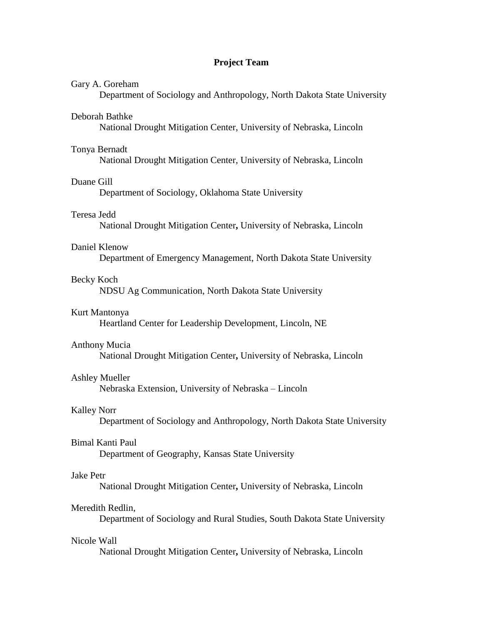# **Project Team**

# Gary A. Goreham

Department of Sociology and Anthropology, North Dakota State University

## Deborah Bathke

National Drought Mitigation Center, University of Nebraska, Lincoln

#### Tonya Bernadt

National Drought Mitigation Center, University of Nebraska, Lincoln

# Duane Gill

Department of Sociology, Oklahoma State University

# Teresa Jedd

National Drought Mitigation Center**,** University of Nebraska, Lincoln

# Daniel Klenow

Department of Emergency Management, North Dakota State University

## Becky Koch

NDSU Ag Communication, North Dakota State University

# Kurt Mantonya

Heartland Center for Leadership Development, Lincoln, NE

#### Anthony Mucia

National Drought Mitigation Center**,** University of Nebraska, Lincoln

## Ashley Mueller

Nebraska Extension, University of Nebraska – Lincoln

#### Kalley Norr

Department of Sociology and Anthropology, North Dakota State University

#### Bimal Kanti Paul

Department of Geography, Kansas State University

# Jake Petr

National Drought Mitigation Center**,** University of Nebraska, Lincoln

# Meredith Redlin,

Department of Sociology and Rural Studies, South Dakota State University

# Nicole Wall

National Drought Mitigation Center**,** University of Nebraska, Lincoln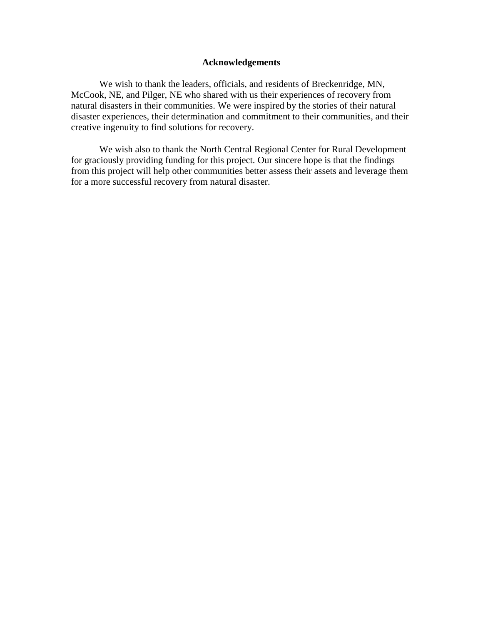# **Acknowledgements**

We wish to thank the leaders, officials, and residents of Breckenridge, MN, McCook, NE, and Pilger, NE who shared with us their experiences of recovery from natural disasters in their communities. We were inspired by the stories of their natural disaster experiences, their determination and commitment to their communities, and their creative ingenuity to find solutions for recovery.

We wish also to thank the North Central Regional Center for Rural Development for graciously providing funding for this project. Our sincere hope is that the findings from this project will help other communities better assess their assets and leverage them for a more successful recovery from natural disaster.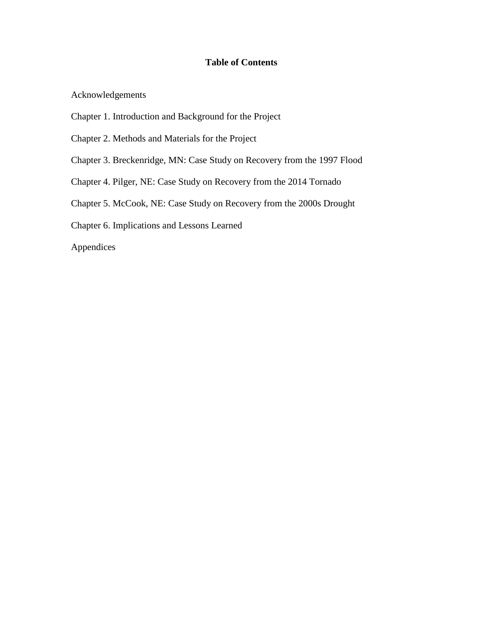# **Table of Contents**

Acknowledgements

- Chapter 1. Introduction and Background for the Project
- Chapter 2. Methods and Materials for the Project
- Chapter 3. Breckenridge, MN: Case Study on Recovery from the 1997 Flood
- Chapter 4. Pilger, NE: Case Study on Recovery from the 2014 Tornado
- Chapter 5. McCook, NE: Case Study on Recovery from the 2000s Drought
- Chapter 6. Implications and Lessons Learned

Appendices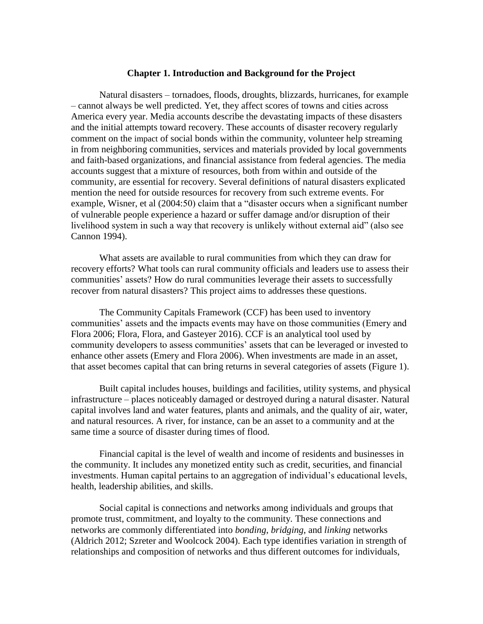# **Chapter 1. Introduction and Background for the Project**

Natural disasters – tornadoes, floods, droughts, blizzards, hurricanes, for example – cannot always be well predicted. Yet, they affect scores of towns and cities across America every year. Media accounts describe the devastating impacts of these disasters and the initial attempts toward recovery. These accounts of disaster recovery regularly comment on the impact of social bonds within the community, volunteer help streaming in from neighboring communities, services and materials provided by local governments and faith-based organizations, and financial assistance from federal agencies. The media accounts suggest that a mixture of resources, both from within and outside of the community, are essential for recovery. Several definitions of natural disasters explicated mention the need for outside resources for recovery from such extreme events. For example, Wisner, et al (2004:50) claim that a "disaster occurs when a significant number of vulnerable people experience a hazard or suffer damage and/or disruption of their livelihood system in such a way that recovery is unlikely without external aid" (also see Cannon 1994).

What assets are available to rural communities from which they can draw for recovery efforts? What tools can rural community officials and leaders use to assess their communities' assets? How do rural communities leverage their assets to successfully recover from natural disasters? This project aims to addresses these questions.

The Community Capitals Framework (CCF) has been used to inventory communities' assets and the impacts events may have on those communities (Emery and Flora 2006; Flora, Flora, and Gasteyer 2016). CCF is an analytical tool used by community developers to assess communities' assets that can be leveraged or invested to enhance other assets (Emery and Flora 2006). When investments are made in an asset, that asset becomes capital that can bring returns in several categories of assets (Figure 1).

Built capital includes houses, buildings and facilities, utility systems, and physical infrastructure – places noticeably damaged or destroyed during a natural disaster. Natural capital involves land and water features, plants and animals, and the quality of air, water, and natural resources. A river, for instance, can be an asset to a community and at the same time a source of disaster during times of flood.

Financial capital is the level of wealth and income of residents and businesses in the community. It includes any monetized entity such as credit, securities, and financial investments. Human capital pertains to an aggregation of individual's educational levels, health, leadership abilities, and skills.

Social capital is connections and networks among individuals and groups that promote trust, commitment, and loyalty to the community. These connections and networks are commonly differentiated into *bonding*, *bridging*, and *linking* networks (Aldrich 2012; Szreter and Woolcock 2004). Each type identifies variation in strength of relationships and composition of networks and thus different outcomes for individuals,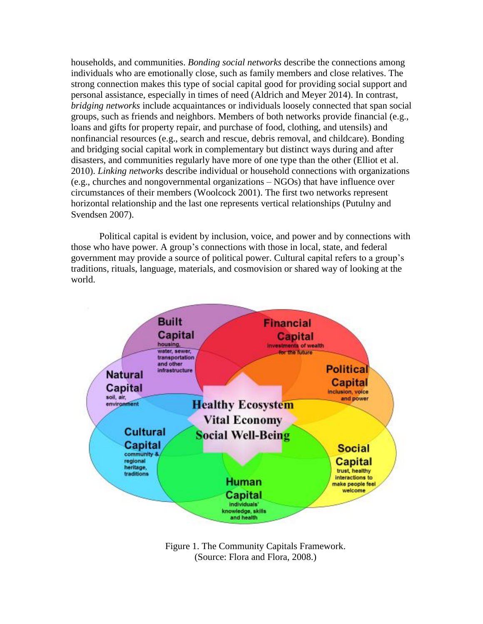households, and communities. *Bonding social networks* describe the connections among individuals who are emotionally close, such as family members and close relatives. The strong connection makes this type of social capital good for providing social support and personal assistance, especially in times of need (Aldrich and Meyer 2014). In contrast, *bridging networks* include acquaintances or individuals loosely connected that span social groups, such as friends and neighbors. Members of both networks provide financial (e.g., loans and gifts for property repair, and purchase of food, clothing, and utensils) and nonfinancial resources (e.g., search and rescue, debris removal, and childcare). Bonding and bridging social capital work in complementary but distinct ways during and after disasters, and communities regularly have more of one type than the other (Elliot et al. 2010). *Linking networks* describe individual or household connections with organizations (e.g., churches and nongovernmental organizations – NGOs) that have influence over circumstances of their members (Woolcock 2001). The first two networks represent horizontal relationship and the last one represents vertical relationships (Putulny and Svendsen 2007).

Political capital is evident by inclusion, voice, and power and by connections with those who have power. A group's connections with those in local, state, and federal government may provide a source of political power. Cultural capital refers to a group's traditions, rituals, language, materials, and cosmovision or shared way of looking at the world.



Figure 1. The Community Capitals Framework. (Source: Flora and Flora, 2008.)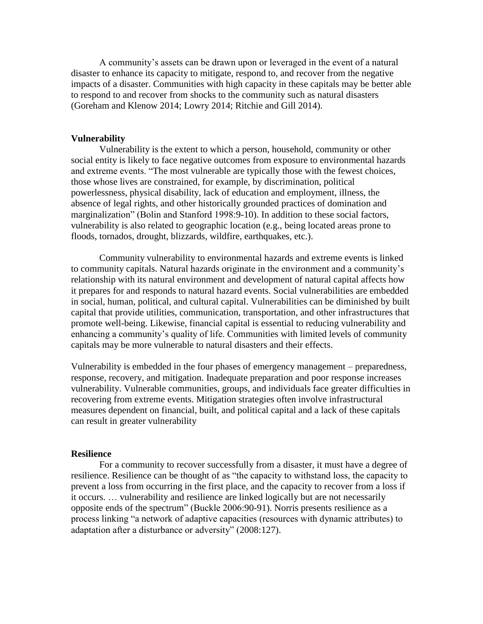A community's assets can be drawn upon or leveraged in the event of a natural disaster to enhance its capacity to mitigate, respond to, and recover from the negative impacts of a disaster. Communities with high capacity in these capitals may be better able to respond to and recover from shocks to the community such as natural disasters (Goreham and Klenow 2014; Lowry 2014; Ritchie and Gill 2014).

## **Vulnerability**

Vulnerability is the extent to which a person, household, community or other social entity is likely to face negative outcomes from exposure to environmental hazards and extreme events. "The most vulnerable are typically those with the fewest choices, those whose lives are constrained, for example, by discrimination, political powerlessness, physical disability, lack of education and employment, illness, the absence of legal rights, and other historically grounded practices of domination and marginalization" (Bolin and Stanford 1998:9-10). In addition to these social factors, vulnerability is also related to geographic location (e.g., being located areas prone to floods, tornados, drought, blizzards, wildfire, earthquakes, etc.).

Community vulnerability to environmental hazards and extreme events is linked to community capitals. Natural hazards originate in the environment and a community's relationship with its natural environment and development of natural capital affects how it prepares for and responds to natural hazard events. Social vulnerabilities are embedded in social, human, political, and cultural capital. Vulnerabilities can be diminished by built capital that provide utilities, communication, transportation, and other infrastructures that promote well-being. Likewise, financial capital is essential to reducing vulnerability and enhancing a community's quality of life. Communities with limited levels of community capitals may be more vulnerable to natural disasters and their effects.

Vulnerability is embedded in the four phases of emergency management – preparedness, response, recovery, and mitigation. Inadequate preparation and poor response increases vulnerability. Vulnerable communities, groups, and individuals face greater difficulties in recovering from extreme events. Mitigation strategies often involve infrastructural measures dependent on financial, built, and political capital and a lack of these capitals can result in greater vulnerability

## **Resilience**

For a community to recover successfully from a disaster, it must have a degree of resilience. Resilience can be thought of as "the capacity to withstand loss, the capacity to prevent a loss from occurring in the first place, and the capacity to recover from a loss if it occurs. … vulnerability and resilience are linked logically but are not necessarily opposite ends of the spectrum" (Buckle 2006:90-91). Norris presents resilience as a process linking "a network of adaptive capacities (resources with dynamic attributes) to adaptation after a disturbance or adversity" (2008:127).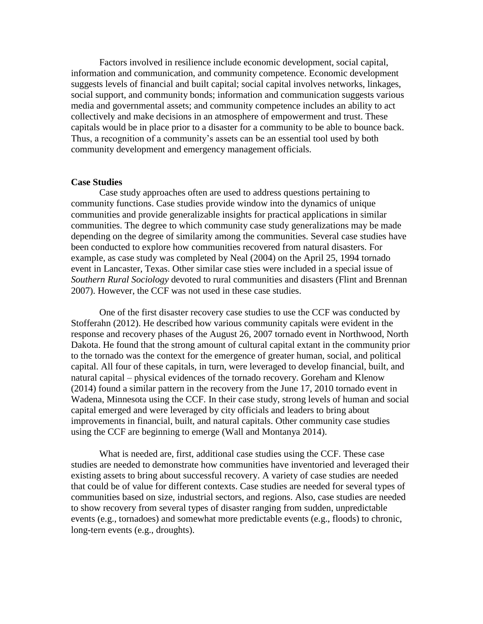Factors involved in resilience include economic development, social capital, information and communication, and community competence. Economic development suggests levels of financial and built capital; social capital involves networks, linkages, social support, and community bonds; information and communication suggests various media and governmental assets; and community competence includes an ability to act collectively and make decisions in an atmosphere of empowerment and trust. These capitals would be in place prior to a disaster for a community to be able to bounce back. Thus, a recognition of a community's assets can be an essential tool used by both community development and emergency management officials.

# **Case Studies**

Case study approaches often are used to address questions pertaining to community functions. Case studies provide window into the dynamics of unique communities and provide generalizable insights for practical applications in similar communities. The degree to which community case study generalizations may be made depending on the degree of similarity among the communities. Several case studies have been conducted to explore how communities recovered from natural disasters. For example, as case study was completed by Neal (2004) on the April 25, 1994 tornado event in Lancaster, Texas. Other similar case sties were included in a special issue of *Southern Rural Sociology* devoted to rural communities and disasters (Flint and Brennan 2007). However, the CCF was not used in these case studies.

One of the first disaster recovery case studies to use the CCF was conducted by Stofferahn (2012). He described how various community capitals were evident in the response and recovery phases of the August 26, 2007 tornado event in Northwood, North Dakota. He found that the strong amount of cultural capital extant in the community prior to the tornado was the context for the emergence of greater human, social, and political capital. All four of these capitals, in turn, were leveraged to develop financial, built, and natural capital – physical evidences of the tornado recovery. Goreham and Klenow (2014) found a similar pattern in the recovery from the June 17, 2010 tornado event in Wadena, Minnesota using the CCF. In their case study, strong levels of human and social capital emerged and were leveraged by city officials and leaders to bring about improvements in financial, built, and natural capitals. Other community case studies using the CCF are beginning to emerge (Wall and Montanya 2014).

What is needed are, first, additional case studies using the CCF. These case studies are needed to demonstrate how communities have inventoried and leveraged their existing assets to bring about successful recovery. A variety of case studies are needed that could be of value for different contexts. Case studies are needed for several types of communities based on size, industrial sectors, and regions. Also, case studies are needed to show recovery from several types of disaster ranging from sudden, unpredictable events (e.g., tornadoes) and somewhat more predictable events (e.g., floods) to chronic, long-tern events (e.g., droughts).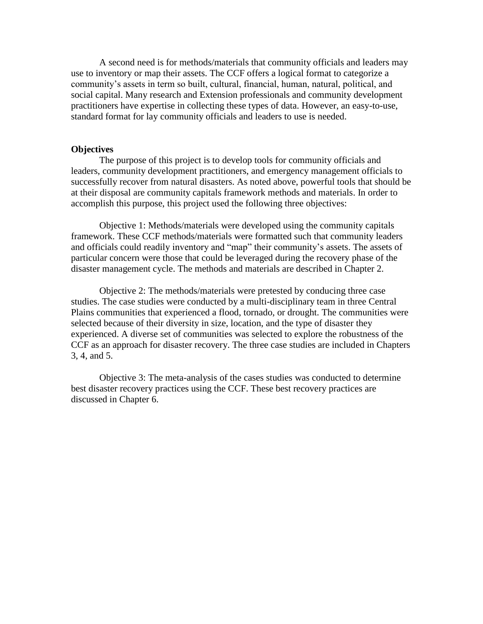A second need is for methods/materials that community officials and leaders may use to inventory or map their assets. The CCF offers a logical format to categorize a community's assets in term so built, cultural, financial, human, natural, political, and social capital. Many research and Extension professionals and community development practitioners have expertise in collecting these types of data. However, an easy-to-use, standard format for lay community officials and leaders to use is needed.

# **Objectives**

The purpose of this project is to develop tools for community officials and leaders, community development practitioners, and emergency management officials to successfully recover from natural disasters. As noted above, powerful tools that should be at their disposal are community capitals framework methods and materials. In order to accomplish this purpose, this project used the following three objectives:

Objective 1: Methods/materials were developed using the community capitals framework. These CCF methods/materials were formatted such that community leaders and officials could readily inventory and "map" their community's assets. The assets of particular concern were those that could be leveraged during the recovery phase of the disaster management cycle. The methods and materials are described in Chapter 2.

Objective 2: The methods/materials were pretested by conducing three case studies. The case studies were conducted by a multi-disciplinary team in three Central Plains communities that experienced a flood, tornado, or drought. The communities were selected because of their diversity in size, location, and the type of disaster they experienced. A diverse set of communities was selected to explore the robustness of the CCF as an approach for disaster recovery. The three case studies are included in Chapters 3, 4, and 5.

Objective 3: The meta-analysis of the cases studies was conducted to determine best disaster recovery practices using the CCF. These best recovery practices are discussed in Chapter 6.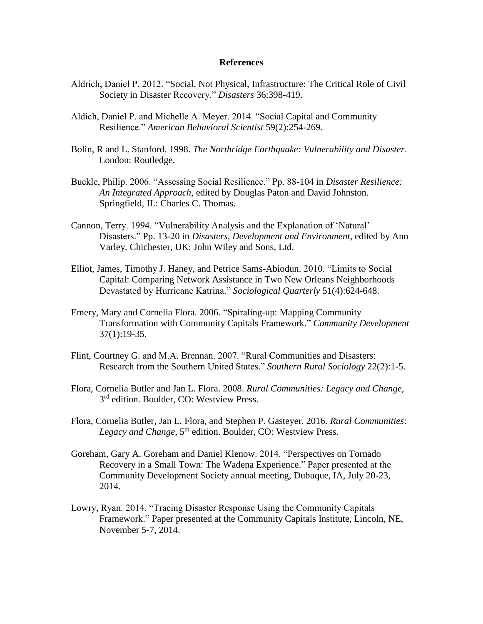# **References**

- Aldrich, Daniel P. 2012. "Social, Not Physical, Infrastructure: The Critical Role of Civil Society in Disaster Recovery." *Disasters* 36:398-419.
- Aldich, Daniel P. and Michelle A. Meyer. 2014. "Social Capital and Community Resilience." *American Behavioral Scientist* 59(2):254-269.
- Bolin, R and L. Stanford. 1998. *The Northridge Earthquake: Vulnerability and Disaster*. London: Routledge.
- Buckle, Philip. 2006. "Assessing Social Resilience." Pp. 88-104 in *Disaster Resilience: An Integrated Approach*, edited by Douglas Paton and David Johnston. Springfield, IL: Charles C. Thomas.
- Cannon, Terry. 1994. "Vulnerability Analysis and the Explanation of 'Natural' Disasters." Pp. 13-20 in *Disasters, Development and Environment*, edited by Ann Varley. Chichester, UK: John Wiley and Sons, Ltd.
- Elliot, James, Timothy J. Haney, and Petrice Sams-Abiodun. 2010. "Limits to Social Capital: Comparing Network Assistance in Two New Orleans Neighborhoods Devastated by Hurricane Katrina." *Sociological Quarterly* 51(4):624-648.
- Emery, Mary and Cornelia Flora. 2006. "Spiraling-up: Mapping Community Transformation with Community Capitals Framework." *Community Development* 37(1):19-35.
- Flint, Courtney G. and M.A. Brennan. 2007. "Rural Communities and Disasters: Research from the Southern United States." *Southern Rural Sociology* 22(2):1-5.
- Flora, Cornelia Butler and Jan L. Flora. 2008. *Rural Communities: Legacy and Change*, 3<sup>rd</sup> edition. Boulder, CO: Westview Press.
- Flora, Cornelia Butler, Jan L. Flora, and Stephen P. Gasteyer. 2016. *Rural Communities:*  Legacy and Change, 5<sup>th</sup> edition. Boulder, CO: Westview Press.
- Goreham, Gary A. Goreham and Daniel Klenow. 2014. "Perspectives on Tornado Recovery in a Small Town: The Wadena Experience." Paper presented at the Community Development Society annual meeting, Dubuque, IA, July 20-23, 2014.
- Lowry, Ryan. 2014. "Tracing Disaster Response Using the Community Capitals Framework." Paper presented at the Community Capitals Institute, Lincoln, NE, November 5-7, 2014.